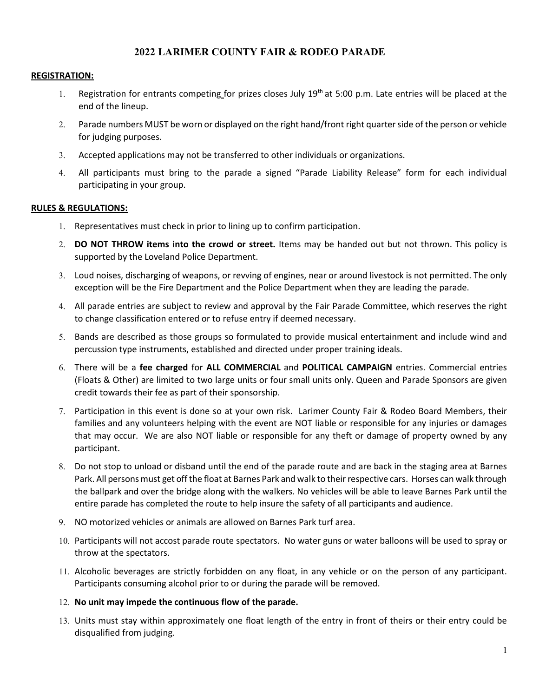# **2022 LARIMER COUNTY FAIR & RODEO PARADE**

### **REGISTRATION:**

- 1. Registration for entrants competing for prizes closes July 19<sup>th</sup> at 5:00 p.m. Late entries will be placed at the end of the lineup.
- 2. Parade numbers MUST be worn or displayed on the right hand/front right quarter side of the person or vehicle for judging purposes.
- 3. Accepted applications may not be transferred to other individuals or organizations.
- 4. All participants must bring to the parade a signed "Parade Liability Release" form for each individual participating in your group.

### **RULES & REGULATIONS:**

- 1. Representatives must check in prior to lining up to confirm participation.
- 2. **DO NOT THROW items into the crowd or street.** Items may be handed out but not thrown. This policy is supported by the Loveland Police Department.
- 3. Loud noises, discharging of weapons, or revving of engines, near or around livestock is not permitted. The only exception will be the Fire Department and the Police Department when they are leading the parade.
- 4. All parade entries are subject to review and approval by the Fair Parade Committee, which reserves the right to change classification entered or to refuse entry if deemed necessary.
- 5. Bands are described as those groups so formulated to provide musical entertainment and include wind and percussion type instruments, established and directed under proper training ideals.
- 6. There will be a **fee charged** for **ALL COMMERCIAL** and **POLITICAL CAMPAIGN** entries. Commercial entries (Floats & Other) are limited to two large units or four small units only. Queen and Parade Sponsors are given credit towards their fee as part of their sponsorship.
- 7. Participation in this event is done so at your own risk. Larimer County Fair & Rodeo Board Members, their families and any volunteers helping with the event are NOT liable or responsible for any injuries or damages that may occur. We are also NOT liable or responsible for any theft or damage of property owned by any participant.
- 8. Do not stop to unload or disband until the end of the parade route and are back in the staging area at Barnes Park. All persons must get off the float at Barnes Park and walk to their respective cars. Horses can walk through the ballpark and over the bridge along with the walkers. No vehicles will be able to leave Barnes Park until the entire parade has completed the route to help insure the safety of all participants and audience.
- 9. NO motorized vehicles or animals are allowed on Barnes Park turf area.
- 10. Participants will not accost parade route spectators. No water guns or water balloons will be used to spray or throw at the spectators.
- 11. Alcoholic beverages are strictly forbidden on any float, in any vehicle or on the person of any participant. Participants consuming alcohol prior to or during the parade will be removed.

#### 12. **No unit may impede the continuous flow of the parade.**

13. Units must stay within approximately one float length of the entry in front of theirs or their entry could be disqualified from judging.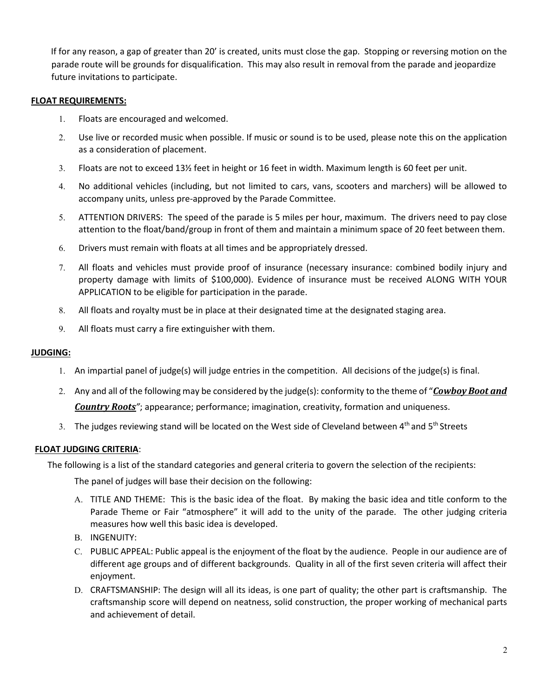If for any reason, a gap of greater than 20' is created, units must close the gap. Stopping or reversing motion on the parade route will be grounds for disqualification. This may also result in removal from the parade and jeopardize future invitations to participate.

### **FLOAT REQUIREMENTS:**

- 1. Floats are encouraged and welcomed.
- 2. Use live or recorded music when possible. If music or sound is to be used, please note this on the application as a consideration of placement.
- 3. Floats are not to exceed 13½ feet in height or 16 feet in width. Maximum length is 60 feet per unit.
- 4. No additional vehicles (including, but not limited to cars, vans, scooters and marchers) will be allowed to accompany units, unless pre-approved by the Parade Committee.
- 5. ATTENTION DRIVERS: The speed of the parade is 5 miles per hour, maximum. The drivers need to pay close attention to the float/band/group in front of them and maintain a minimum space of 20 feet between them.
- 6. Drivers must remain with floats at all times and be appropriately dressed.
- 7. All floats and vehicles must provide proof of insurance (necessary insurance: combined bodily injury and property damage with limits of \$100,000). Evidence of insurance must be received ALONG WITH YOUR APPLICATION to be eligible for participation in the parade.
- 8. All floats and royalty must be in place at their designated time at the designated staging area.
- 9. All floats must carry a fire extinguisher with them.

## **JUDGING:**

- 1. An impartial panel of judge(s) will judge entries in the competition. All decisions of the judge(s) is final.
- 2. Any and all of the following may be considered by the judge(s): conformity to the theme of "*Cowboy Boot and Country Roots"*; appearance; performance; imagination, creativity, formation and uniqueness.
- 3. The judges reviewing stand will be located on the West side of Cleveland between 4<sup>th</sup> and 5<sup>th</sup> Streets

## **FLOAT JUDGING CRITERIA**:

The following is a list of the standard categories and general criteria to govern the selection of the recipients:

The panel of judges will base their decision on the following:

- A. TITLE AND THEME: This is the basic idea of the float. By making the basic idea and title conform to the Parade Theme or Fair "atmosphere" it will add to the unity of the parade. The other judging criteria measures how well this basic idea is developed.
- B. INGENUITY:
- C. PUBLIC APPEAL: Public appeal is the enjoyment of the float by the audience. People in our audience are of different age groups and of different backgrounds. Quality in all of the first seven criteria will affect their enjoyment.
- D. CRAFTSMANSHIP: The design will all its ideas, is one part of quality; the other part is craftsmanship. The craftsmanship score will depend on neatness, solid construction, the proper working of mechanical parts and achievement of detail.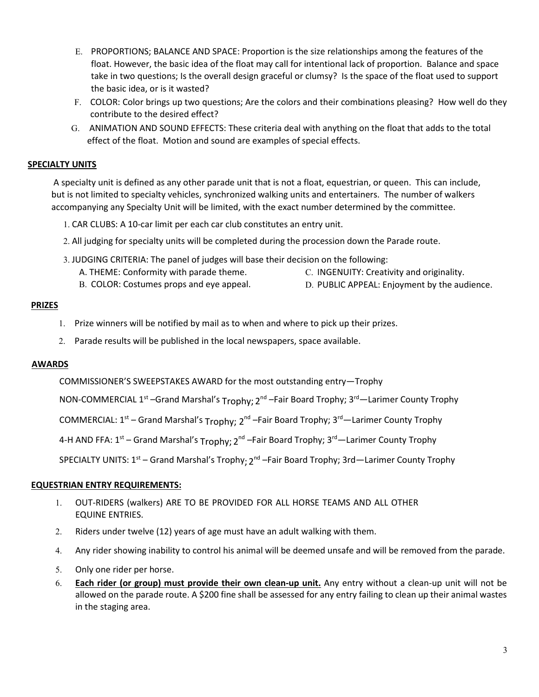- E. PROPORTIONS; BALANCE AND SPACE: Proportion is the size relationships among the features of the float. However, the basic idea of the float may call for intentional lack of proportion. Balance and space take in two questions; Is the overall design graceful or clumsy? Is the space of the float used to support the basic idea, or is it wasted?
- F. COLOR: Color brings up two questions; Are the colors and their combinations pleasing? How well do they contribute to the desired effect?
- G. ANIMATION AND SOUND EFFECTS: These criteria deal with anything on the float that adds to the total effect of the float. Motion and sound are examples of special effects.

# **SPECIALTY UNITS**

A specialty unit is defined as any other parade unit that is not a float, equestrian, or queen. This can include, but is not limited to specialty vehicles, synchronized walking units and entertainers. The number of walkers accompanying any Specialty Unit will be limited, with the exact number determined by the committee.

1. CAR CLUBS: A 10-car limit per each car club constitutes an entry unit.

- 2. All judging for specialty units will be completed during the procession down the Parade route.
- 3. JUDGING CRITERIA: The panel of judges will base their decision on the following:
	- A. THEME: Conformity with parade theme. C. INGENUITY: Creativity and originality.
	- B. COLOR: Costumes props and eye appeal. D. PUBLIC APPEAL: Enjoyment by the audience.

### **PRIZES**

- 1. Prize winners will be notified by mail as to when and where to pick up their prizes.
- 2. Parade results will be published in the local newspapers, space available.

### **AWARDS**

COMMISSIONER'S SWEEPSTAKES AWARD for the most outstanding entry—Trophy

NON-COMMERCIAL 1<sup>st</sup> –Grand Marshal's <sub>Trophy;</sub> 2<sup>nd</sup> –Fair Board Trophy; 3<sup>rd</sup>—Larimer County Trophy

COMMERCIAL:  $1^{st}$  – Grand Marshal's Trophy;  $2^{nd}$  –Fair Board Trophy;  $3^{rd}$  – Larimer County Trophy

4-H AND FFA: 1<sup>st</sup> – Grand Marshal's <sub>Trophy;</sub> 2<sup>nd</sup> –Fair Board Trophy; 3<sup>rd</sup>—Larimer County Trophy

SPECIALTY UNITS: 1<sup>st</sup> – Grand Marshal's Trophy<sub>;</sub> 2<sup>nd</sup> –Fair Board Trophy; 3rd—Larimer County Trophy

## **EQUESTRIAN ENTRY REQUIREMENTS:**

- 1. OUT-RIDERS (walkers) ARE TO BE PROVIDED FOR ALL HORSE TEAMS AND ALL OTHER EQUINE ENTRIES.
- 2. Riders under twelve (12) years of age must have an adult walking with them.
- 4. Any rider showing inability to control his animal will be deemed unsafe and will be removed from the parade.
- 5. Only one rider per horse.
- 6. **Each rider (or group) must provide their own clean-up unit.** Any entry without a clean-up unit will not be allowed on the parade route. A \$200 fine shall be assessed for any entry failing to clean up their animal wastes in the staging area.